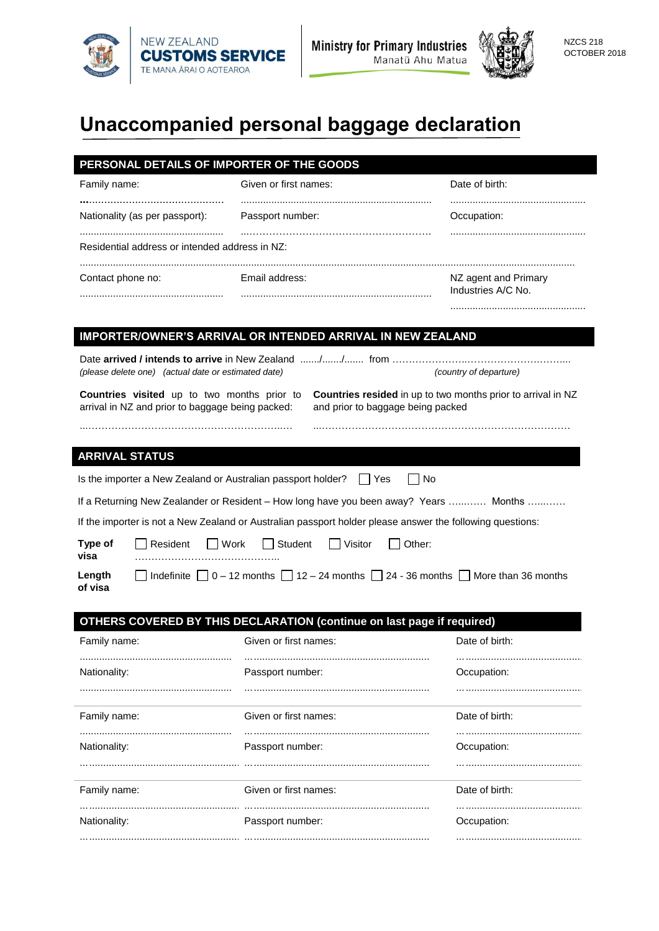



# **Unaccompanied personal baggage declaration**

| Family name:                                                                                    | Given or first names:                                                                                     | Date of birth:                                                                                           |
|-------------------------------------------------------------------------------------------------|-----------------------------------------------------------------------------------------------------------|----------------------------------------------------------------------------------------------------------|
| Nationality (as per passport):                                                                  | Passport number:                                                                                          | Occupation:                                                                                              |
| Residential address or intended address in NZ:                                                  |                                                                                                           |                                                                                                          |
| Contact phone no:                                                                               | Email address:                                                                                            | NZ agent and Primary<br>Industries A/C No.                                                               |
|                                                                                                 | <b>IMPORTER/OWNER'S ARRIVAL OR INTENDED ARRIVAL IN NEW ZEALAND</b>                                        |                                                                                                          |
|                                                                                                 |                                                                                                           |                                                                                                          |
| (please delete one) (actual date or estimated date)                                             |                                                                                                           | (country of departure)                                                                                   |
| Countries visited up to two months prior to<br>arrival in NZ and prior to baggage being packed: |                                                                                                           | Countries resided in up to two months prior to arrival in NZ<br>and prior to baggage being packed        |
|                                                                                                 |                                                                                                           |                                                                                                          |
| <b>ARRIVAL STATUS</b>                                                                           |                                                                                                           |                                                                                                          |
| Is the importer a New Zealand or Australian passport holder?                                    | l IYes                                                                                                    | No.                                                                                                      |
|                                                                                                 |                                                                                                           | If a Returning New Zealander or Resident - How long have you been away? Years  Months                    |
|                                                                                                 | If the importer is not a New Zealand or Australian passport holder please answer the following questions: |                                                                                                          |
| Type of<br>Resident<br>visa                                                                     | Work<br>Student<br>Visitor                                                                                | Other:                                                                                                   |
| Length<br>of visa                                                                               |                                                                                                           | □ Indefinite $\Box$ 0 – 12 months $\Box$ 12 – 24 months $\Box$ 24 - 36 months $\Box$ More than 36 months |
|                                                                                                 |                                                                                                           |                                                                                                          |
| Family name:                                                                                    | OTHERS COVERED BY THIS DECLARATION (continue on last page if required)<br>Given or first names:           | Date of birth:                                                                                           |
|                                                                                                 |                                                                                                           |                                                                                                          |
| Nationality:                                                                                    | Passport number:                                                                                          | Occupation:                                                                                              |
| Family name:                                                                                    | Given or first names:                                                                                     | Date of birth:                                                                                           |
| Nationality:                                                                                    | Passport number:                                                                                          | Occupation:                                                                                              |
| Family name:                                                                                    | Given or first names:                                                                                     | Date of birth:                                                                                           |
| Nationality:                                                                                    | Passport number:                                                                                          | Occupation:                                                                                              |
|                                                                                                 |                                                                                                           |                                                                                                          |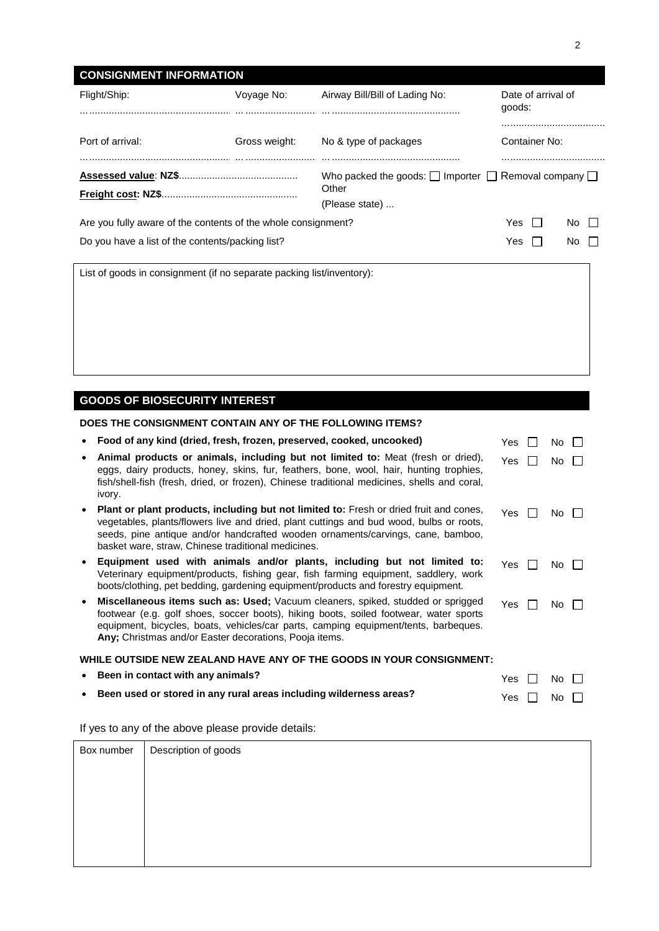| Flight/Ship:                                                          | Voyage No:    | Airway Bill/Bill of Lading No:                                                                 | Date of arrival of<br>goods: |  |
|-----------------------------------------------------------------------|---------------|------------------------------------------------------------------------------------------------|------------------------------|--|
| Port of arrival:                                                      | Gross weight: | No & type of packages                                                                          | <br>Container No:            |  |
|                                                                       |               | Who packed the goods: $\Box$ Importer $\Box$ Removal company $\Box$<br>Other<br>(Please state) |                              |  |
| Are you fully aware of the contents of the whole consignment?         |               |                                                                                                | Yes<br>No.                   |  |
| Do you have a list of the contents/packing list?                      |               |                                                                                                | Yes<br>No.                   |  |
| List of goods in consignment (if no separate packing list/inventory): |               |                                                                                                |                              |  |
|                                                                       |               |                                                                                                |                              |  |

# **GOODS OF BIOSECURITY INTEREST**

| DOES THE CONSIGNMENT CONTAIN ANY OF THE FOLLOWING ITEMS?             |                                                                                                                                                                                                                                                                                                                            |      |  |     |  |
|----------------------------------------------------------------------|----------------------------------------------------------------------------------------------------------------------------------------------------------------------------------------------------------------------------------------------------------------------------------------------------------------------------|------|--|-----|--|
|                                                                      | Food of any kind (dried, fresh, frozen, preserved, cooked, uncooked)                                                                                                                                                                                                                                                       | Yes. |  | No. |  |
|                                                                      | Animal products or animals, including but not limited to: Meat (fresh or dried),<br>eggs, dairy products, honey, skins, fur, feathers, bone, wool, hair, hunting trophies,<br>fish/shell-fish (fresh, dried, or frozen), Chinese traditional medicines, shells and coral,<br>ivory.                                        | Yes. |  | No. |  |
|                                                                      | Plant or plant products, including but not limited to: Fresh or dried fruit and cones,<br>vegetables, plants/flowers live and dried, plant cuttings and bud wood, bulbs or roots,<br>seeds, pine antique and/or handcrafted wooden ornaments/carvings, cane, bamboo,<br>basket ware, straw, Chinese traditional medicines. | Yes. |  | No. |  |
|                                                                      | Equipment used with animals and/or plants, including but not limited to:<br>Veterinary equipment/products, fishing gear, fish farming equipment, saddlery, work<br>boots/clothing, pet bedding, gardening equipment/products and forestry equipment.                                                                       | Yes  |  | No. |  |
|                                                                      | Miscellaneous items such as: Used; Vacuum cleaners, spiked, studded or sprigged<br>footwear (e.g. golf shoes, soccer boots), hiking boots, soiled footwear, water sports<br>equipment, bicycles, boats, vehicles/car parts, camping equipment/tents, barbeques.<br>Any; Christmas and/or Easter decorations, Pooja items.  | Yes. |  | No. |  |
| WHILE OUTSIDE NEW ZEALAND HAVE ANY OF THE GOODS IN YOUR CONSIGNMENT: |                                                                                                                                                                                                                                                                                                                            |      |  |     |  |
|                                                                      | Been in contact with any animals?                                                                                                                                                                                                                                                                                          | Yes  |  | No. |  |
|                                                                      | Been used or stored in any rural areas including wilderness areas?                                                                                                                                                                                                                                                         | Yes  |  | No  |  |

If yes to any of the above please provide details:

| Box number | Description of goods |
|------------|----------------------|
|            |                      |
|            |                      |
|            |                      |
|            |                      |
|            |                      |
|            |                      |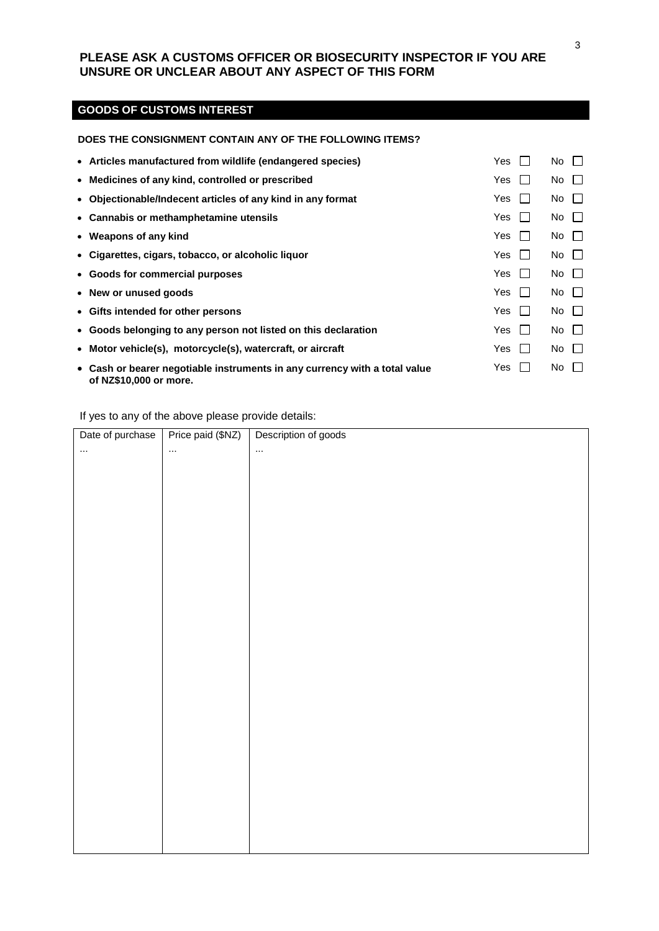### **PLEASE ASK A CUSTOMS OFFICER OR BIOSECURITY INSPECTOR IF YOU ARE UNSURE OR UNCLEAR ABOUT ANY ASPECT OF THIS FORM**

# **GOODS OF CUSTOMS INTEREST**

### **DOES THE CONSIGNMENT CONTAIN ANY OF THE FOLLOWING ITEMS?**

| • Articles manufactured from wildlife (endangered species)                                           | Yes                 | No.<br>$\perp$     |
|------------------------------------------------------------------------------------------------------|---------------------|--------------------|
| • Medicines of any kind, controlled or prescribed                                                    | Yes                 | No<br>$\perp$      |
| • Objectionable/Indecent articles of any kind in any format                                          | Yes                 | No<br>$\mathbf{1}$ |
| • Cannabis or methamphetamine utensils                                                               | Yes                 | $\Box$<br>No       |
| • Weapons of any kind                                                                                | Yes                 | $No$ $\Box$        |
| • Cigarettes, cigars, tobacco, or alcoholic liquor                                                   | Yes                 | No                 |
| • Goods for commercial purposes                                                                      | Yes<br>$\mathbf{1}$ | $No$ $  $          |
| • New or unused goods                                                                                | Yes<br>$\mathbf{1}$ | $No \quad \Box$    |
| • Gifts intended for other persons                                                                   | Yes<br>$\mathbf{1}$ | No<br>$\mathbf{1}$ |
| • Goods belonging to any person not listed on this declaration                                       | Yes<br>$\mathbf{1}$ | No<br>$\mathbf{1}$ |
| • Motor vehicle(s), motorcycle(s), watercraft, or aircraft                                           | Yes<br>$\mathbf{1}$ | No<br>$\mathbf{1}$ |
| • Cash or bearer negotiable instruments in any currency with a total value<br>of NZ\$10,000 or more. | Yes                 | No<br>$\perp$      |

If yes to any of the above please provide details:

| Date of purchase | Price paid (\$NZ) | Description of goods |
|------------------|-------------------|----------------------|
| $\ldots$         | $\ddotsc$         | $\ldots$             |
|                  |                   |                      |
|                  |                   |                      |
|                  |                   |                      |
|                  |                   |                      |
|                  |                   |                      |
|                  |                   |                      |
|                  |                   |                      |
|                  |                   |                      |
|                  |                   |                      |
|                  |                   |                      |
|                  |                   |                      |
|                  |                   |                      |
|                  |                   |                      |
|                  |                   |                      |
|                  |                   |                      |
|                  |                   |                      |
|                  |                   |                      |
|                  |                   |                      |
|                  |                   |                      |
|                  |                   |                      |
|                  |                   |                      |
|                  |                   |                      |
|                  |                   |                      |
|                  |                   |                      |
|                  |                   |                      |
|                  |                   |                      |
|                  |                   |                      |
|                  |                   |                      |